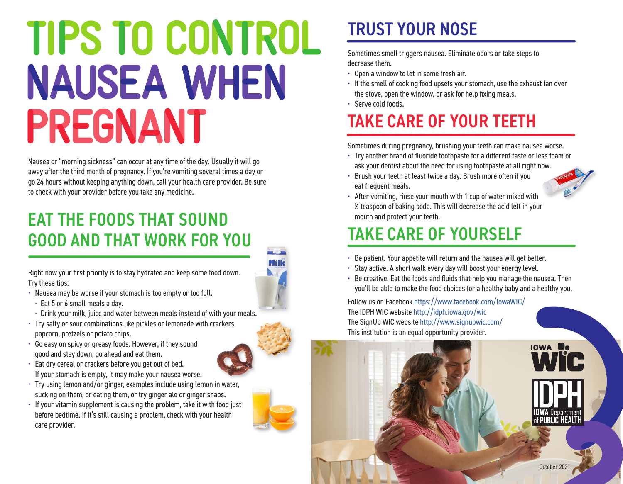# TIPS TO CONTROL **NAUSEA WHEN** PREGNANT

Nausea or "morning sickness" can occur at any time of the day. Usually it will go away after the third month of pregnancy. If you're vomiting several times a day or go 24 hours without keeping anything down, call your health care provider. Be sure to check with your provider before you take any medicine.

### EAT THE FOODS THAT SOUND GOOD AND THAT WORK FOR YOU

Right now your first priority is to stay hydrated and keep some food down. Try these tips:

- Nausea may be worse if your stomach is too empty or too full.
	- Eat 5 or 6 small meals a day.
- Drink your milk, juice and water between meals instead of with your meals.
- Try salty or sour combinations like pickles or lemonade with crackers, popcorn, pretzels or potato chips.
- Go easy on spicy or greasy foods. However, if they sound good and stay down, go ahead and eat them.
- Eat dry cereal or crackers before you get out of bed. If your stomach is empty, it may make your nausea worse.
- Try using lemon and/or ginger, examples include using lemon in water, sucking on them, or eating them, or try ginger ale or ginger snaps.
- If your vitamin supplement is causing the problem, take it with food just before bedtime. If it's still causing a problem, check with your health care provider.

### TRUST YOUR NOSE

Sometimes smell triggers nausea. Eliminate odors or take steps to decrease them.

- Open a window to let in some fresh air.
- If the smell of cooking food upsets your stomach, use the exhaust fan over the stove, open the window, or ask for help fixing meals.
- Serve cold foods.

### TAKE CARE OF YOUR TEETH

Sometimes during pregnancy, brushing your teeth can make nausea worse.

- Try another brand of fluoride toothpaste for a different taste or less foam or ask your dentist about the need for using toothpaste at all right now.
- Brush your teeth at least twice a day. Brush more often if you eat frequent meals.



• After vomiting, rinse your mouth with 1 cup of water mixed with ½ teaspoon of baking soda. This will decrease the acid left in your mouth and protect your teeth.

### TAKE CARE OF YOURSELF

- Be patient. Your appetite will return and the nausea will get better.
- Stay active. A short walk every day will boost your energy level.
- Be creative. Eat the foods and fluids that help you manage the nausea. Then you'll be able to make the food choices for a healthy baby and a healthy you.

Follow us on Facebook <https://www.facebook.com/IowaWIC/> The IDPH WIC website <http://idph.iowa.gov/wic> The SignUp WIC website<http://www.signupwic.com/> This institution is an equal opportunity provider.